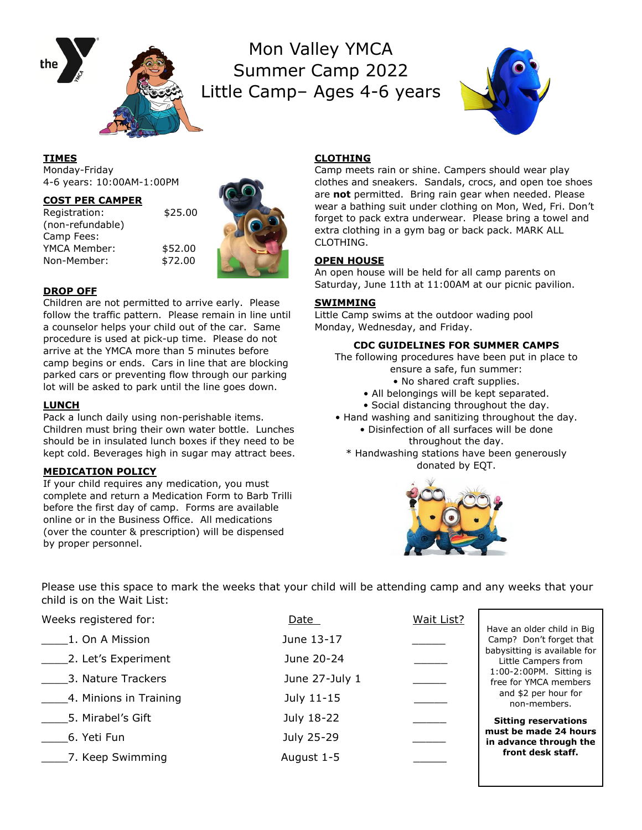

Mon Valley YMCA Summer Camp 2022 Little Camp– Ages 4-6 years



### **TIMES**

Monday-Friday 4-6 years: 10:00AM-1:00PM

#### **COST PER CAMPER**

Registration: \$25.00 (non-refundable) Camp Fees: YMCA Member: \$52.00 Non-Member: \$72.00



## **DROP OFF**

Children are not permitted to arrive early. Please follow the traffic pattern. Please remain in line until a counselor helps your child out of the car. Same procedure is used at pick-up time. Please do not arrive at the YMCA more than 5 minutes before camp begins or ends. Cars in line that are blocking parked cars or preventing flow through our parking lot will be asked to park until the line goes down.

## **LUNCH**

Pack a lunch daily using non-perishable items. Children must bring their own water bottle. Lunches should be in insulated lunch boxes if they need to be kept cold. Beverages high in sugar may attract bees.

## **MEDICATION POLICY**

If your child requires any medication, you must complete and return a Medication Form to Barb Trilli before the first day of camp. Forms are available online or in the Business Office. All medications (over the counter & prescription) will be dispensed by proper personnel.

## **CLOTHING**

Camp meets rain or shine. Campers should wear play clothes and sneakers. Sandals, crocs, and open toe shoes are **not** permitted. Bring rain gear when needed. Please wear a bathing suit under clothing on Mon, Wed, Fri. Don't forget to pack extra underwear. Please bring a towel and extra clothing in a gym bag or back pack. MARK ALL CLOTHING.

## **OPEN HOUSE**

An open house will be held for all camp parents on Saturday, June 11th at 11:00AM at our picnic pavilion.

## **SWIMMING**

Little Camp swims at the outdoor wading pool Monday, Wednesday, and Friday.

## **CDC GUIDELINES FOR SUMMER CAMPS**

- The following procedures have been put in place to ensure a safe, fun summer:
	- No shared craft supplies.
	- All belongings will be kept separated.
	- Social distancing throughout the day.
- Hand washing and sanitizing throughout the day.
	- Disinfection of all surfaces will be done throughout the day.
	- \* Handwashing stations have been generously donated by EQT.



Please use this space to mark the weeks that your child will be attending camp and any weeks that your child is on the Wait List:

Weeks registered for: Date Date Date Wait List? 1. On A Mission June 13-17 2. Let's Experiment June 20-24 \_\_\_\_3. Nature Trackers June 27-July 1 \_\_\_\_\_ 4. Minions in Training Tuly 11-15 \_\_\_\_5. Mirabel's Gift July 18-22 \_\_\_\_\_ \_\_\_\_6. Yeti Fun July 25-29 \_\_\_\_\_ \_\_\_\_7. Keep Swimming August 1-5 \_\_\_\_\_ Have an older child in Big Camp? Don't forget that babysitting is available for Little Campers from 1:00-2:00PM. Sitting is free for YMCA members and \$2 per hour for non-members. **Sitting reservations must be made 24 hours in advance through the front desk staff.**